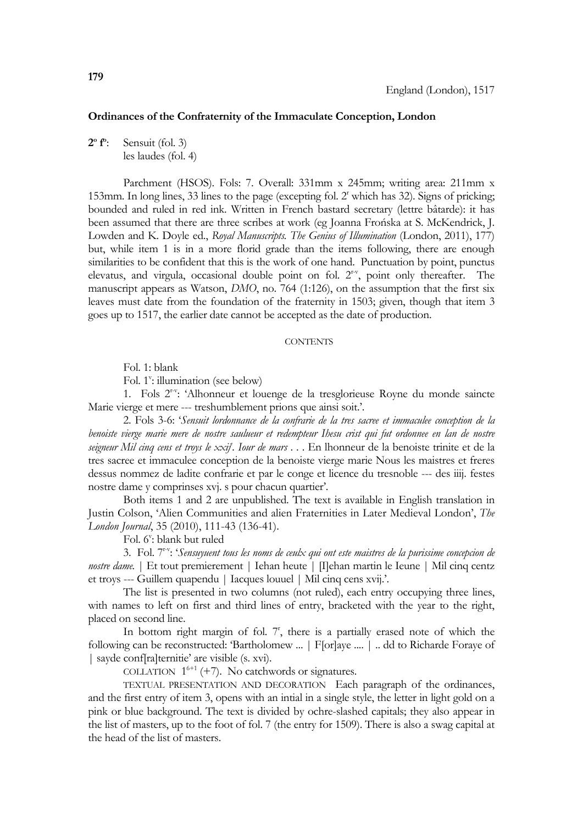## **Ordinances of the Confraternity of the Immaculate Conception, London**

**2o fo** Sensuit (fol. 3) les laudes (fol. 4)

 Parchment (HSOS). Fols: 7. Overall: 331mm x 245mm; writing area: 211mm x 153mm. In long lines, 33 lines to the page (excepting fol. 2' which has 32). Signs of pricking; bounded and ruled in red ink. Written in French bastard secretary (lettre bâtarde): it has been assumed that there are three scribes at work (eg Joanna Frońska at S. McKendrick, J. Lowden and K. Doyle ed., *Royal Manuscripts. The Genius of Illumination* (London, 2011), 177) but, while item 1 is in a more florid grade than the items following, there are enough similarities to be confident that this is the work of one hand. Punctuation by point, punctus elevatus, and virgula, occasional double point on fol.  $2<sup>r-v</sup>$ , point only thereafter. The manuscript appears as Watson, *DMO*, no. 764 (1:126), on the assumption that the first six leaves must date from the foundation of the fraternity in 1503; given, though that item 3 goes up to 1517, the earlier date cannot be accepted as the date of production.

## **CONTENTS**

Fol. 1: blank

Fol. 1<sup>v</sup>: illumination (see below)

 1. Fols 2r-v: 'Alhonneur et louenge de la tresglorieuse Royne du monde saincte Marie vierge et mere --- treshumblement prions que ainsi soit.'.

 2. Fols 3-6: '*Sensuit lordonnance de la confrarie de la tres sacree et immaculee conception de la benoiste vierge marie mere de nostre saulueur et redempteur Ihesu crist qui fut ordonnee en lan de nostre seigneur Mil cinq cens et troys le xxije . Iour de mars* . . . En lhonneur de la benoiste trinite et de la tres sacree et immaculee conception de la benoiste vierge marie Nous les maistres et freres dessus nommez de ladite confrarie et par le conge et licence du tresnoble --- des iiij. festes nostre dame y comprinses xvj. s pour chacun quartier'.

 Both items 1 and 2 are unpublished. The text is available in English translation in Justin Colson, 'Alien Communities and alien Fraternities in Later Medieval London', *The London Journal*, 35 (2010), 111-43 (136-41).

Fol. 6": blank but ruled

 3. Fol. 7r-v: '*Sensuyuent tous les noms de ceulx qui ont este maistres de la purissime concepcion de nostre dame.* | Et tout premierement | Iehan heute | [I]ehan martin le Ieune | Mil cinq centz et troys --- Guillem quapendu | Iacques louuel | Mil cinq cens xvij.'.

 The list is presented in two columns (not ruled), each entry occupying three lines, with names to left on first and third lines of entry, bracketed with the year to the right, placed on second line.

In bottom right margin of fol.  $7<sup>r</sup>$ , there is a partially erased note of which the following can be reconstructed: 'Bartholomew ... | F[or]aye .... | .. dd to Richarde Foraye of | sayde conf[ra]ternitie' are visible (s. xvi).

COLLATION  $1^{6+1}$  (+7). No catchwords or signatures.

TEXTUAL PRESENTATION AND DECORATION Each paragraph of the ordinances, and the first entry of item 3, opens with an intial in a single style, the letter in light gold on a pink or blue background. The text is divided by ochre-slashed capitals; they also appear in the list of masters, up to the foot of fol. 7 (the entry for 1509). There is also a swag capital at the head of the list of masters.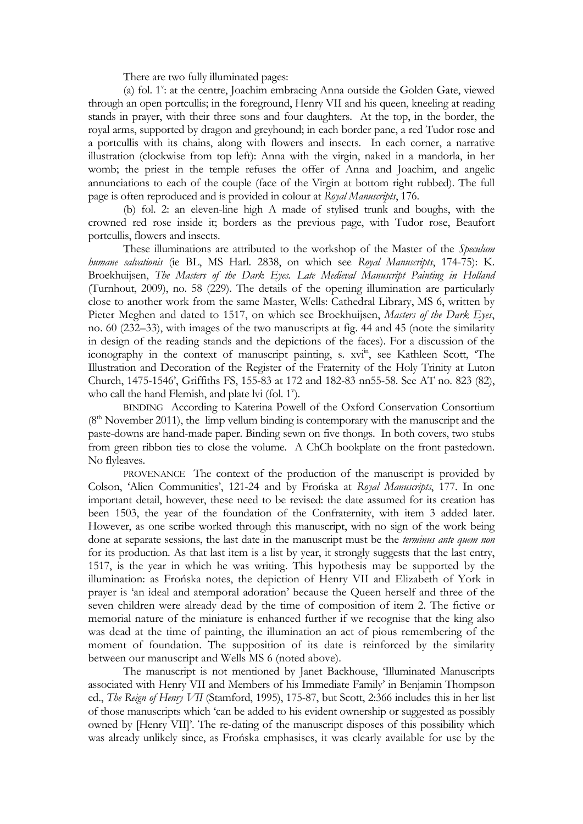There are two fully illuminated pages:

(a) fol. 1<sup>v</sup>: at the centre, Joachim embracing Anna outside the Golden Gate, viewed through an open portcullis; in the foreground, Henry VII and his queen, kneeling at reading stands in prayer, with their three sons and four daughters. At the top, in the border, the royal arms, supported by dragon and greyhound; in each border pane, a red Tudor rose and a portcullis with its chains, along with flowers and insects. In each corner, a narrative illustration (clockwise from top left): Anna with the virgin, naked in a mandorla, in her womb; the priest in the temple refuses the offer of Anna and Joachim, and angelic annunciations to each of the couple (face of the Virgin at bottom right rubbed). The full page is often reproduced and is provided in colour at *Royal Manuscripts*, 176.

 (b) fol. 2: an eleven-line high A made of stylised trunk and boughs, with the crowned red rose inside it; borders as the previous page, with Tudor rose, Beaufort portcullis, flowers and insects.

 These illuminations are attributed to the workshop of the Master of the *Speculum humane salvationis* (ie BL, MS Harl. 2838, on which see *Royal Manuscripts*, 174-75): K. Broekhuijsen, *The Masters of the Dark Eyes. Late Medieval Manuscript Painting in Holland*  (Turnhout, 2009), no. 58 (229). The details of the opening illumination are particularly close to another work from the same Master, Wells: Cathedral Library, MS 6, written by Pieter Meghen and dated to 1517, on which see Broekhuijsen, *Masters of the Dark Eyes*, no. 60 (232–33), with images of the two manuscripts at fig. 44 and 45 (note the similarity in design of the reading stands and the depictions of the faces). For a discussion of the iconography in the context of manuscript painting, s. xvi<sup>in</sup>, see Kathleen Scott, 'The Illustration and Decoration of the Register of the Fraternity of the Holy Trinity at Luton Church, 1475-1546', Griffiths FS, 155-83 at 172 and 182-83 nn55-58. See AT no. 823 (82), who call the hand Flemish, and plate lvi (fol. 1<sup>v</sup>).

BINDING According to Katerina Powell of the Oxford Conservation Consortium  $(8<sup>th</sup> November 2011)$ , the limp vellum binding is contemporary with the manuscript and the paste-downs are hand-made paper. Binding sewn on five thongs. In both covers, two stubs from green ribbon ties to close the volume. A ChCh bookplate on the front pastedown. No flyleaves.

PROVENANCE The context of the production of the manuscript is provided by Colson, 'Alien Communities', 121-24 and by Frońska at *Royal Manuscripts*, 177. In one important detail, however, these need to be revised: the date assumed for its creation has been 1503, the year of the foundation of the Confraternity, with item 3 added later. However, as one scribe worked through this manuscript, with no sign of the work being done at separate sessions, the last date in the manuscript must be the *terminus ante quem non*  for its production. As that last item is a list by year, it strongly suggests that the last entry, 1517, is the year in which he was writing. This hypothesis may be supported by the illumination: as Frońska notes, the depiction of Henry VII and Elizabeth of York in prayer is 'an ideal and atemporal adoration' because the Queen herself and three of the seven children were already dead by the time of composition of item 2. The fictive or memorial nature of the miniature is enhanced further if we recognise that the king also was dead at the time of painting, the illumination an act of pious remembering of the moment of foundation. The supposition of its date is reinforced by the similarity between our manuscript and Wells MS 6 (noted above).

 The manuscript is not mentioned by Janet Backhouse, 'Illuminated Manuscripts associated with Henry VII and Members of his Immediate Family' in Benjamin Thompson ed., *The Reign of Henry VII* (Stamford, 1995), 175-87, but Scott, 2:366 includes this in her list of those manuscripts which 'can be added to his evident ownership or suggested as possibly owned by [Henry VII]'. The re-dating of the manuscript disposes of this possibility which was already unlikely since, as Frońska emphasises, it was clearly available for use by the